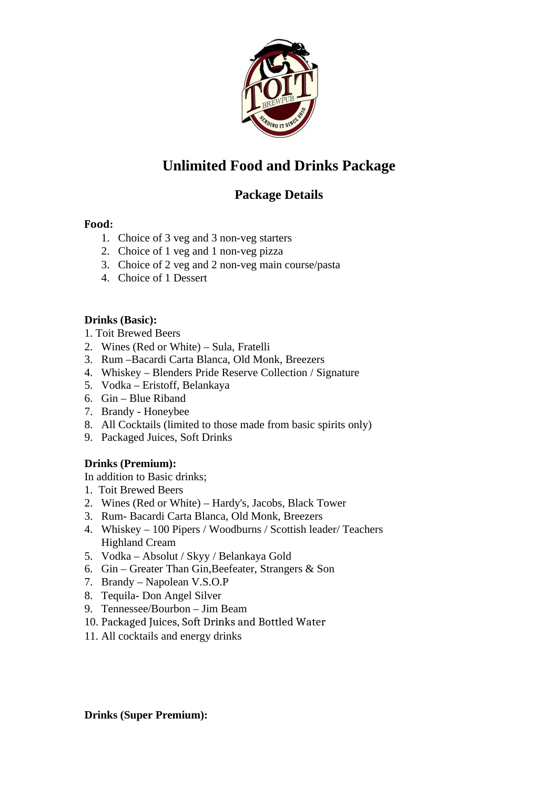

# **Unlimited Food and Drinks Package**

## **Package Details**

#### **Food:**

- 1. Choice of 3 veg and 3 non-veg starters
- 2. Choice of 1 veg and 1 non-veg pizza
- 3. Choice of 2 veg and 2 non-veg main course/pasta
- 4. Choice of 1 Dessert

#### **Drinks (Basic):**

- 1. Toit Brewed Beers
- 2. Wines (Red or White) Sula, Fratelli
- 3. Rum –Bacardi Carta Blanca, Old Monk, Breezers
- 4. Whiskey Blenders Pride Reserve Collection / Signature
- 5. Vodka Eristoff, Belankaya
- 6. Gin Blue Riband
- 7. Brandy Honeybee
- 8. All Cocktails (limited to those made from basic spirits only)
- 9. Packaged Juices, Soft Drinks

#### **Drinks (Premium):**

In addition to Basic drinks;

- 1. Toit Brewed Beers
- 2. Wines (Red or White) Hardy's, Jacobs, Black Tower
- 3. Rum- Bacardi Carta Blanca, Old Monk, Breezers
- 4. Whiskey 100 Pipers / Woodburns / Scottish leader/ Teachers Highland Cream
- 5. Vodka Absolut / Skyy / Belankaya Gold
- 6. Gin Greater Than Gin,Beefeater, Strangers & Son
- 7. Brandy Napolean V.S.O.P
- 8. Tequila- Don Angel Silver
- 9. Tennessee/Bourbon Jim Beam
- 10. Packaged Juices, Soft Drinks and Bottled Water
- 11. All cocktails and energy drinks

**Drinks (Super Premium):**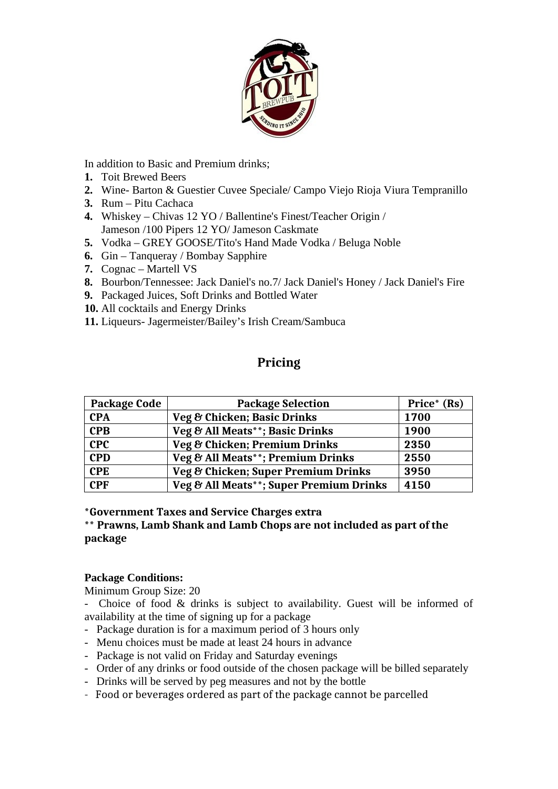

In addition to Basic and Premium drinks;

- **1.** Toit Brewed Beers
- **2.** Wine- Barton & Guestier Cuvee Speciale/ Campo Viejo Rioja Viura Tempranillo
- **3.** Rum Pitu Cachaca
- **4.** Whiskey Chivas 12 YO / Ballentine's Finest/Teacher Origin / Jameson /100 Pipers 12 YO/ Jameson Caskmate
- **5.** Vodka GREY GOOSE/Tito's Hand Made Vodka / Beluga Noble
- **6.** Gin Tanqueray / Bombay Sapphire
- **7.** Cognac Martell VS
- **8.** Bourbon/Tennessee: Jack Daniel's no.7/ Jack Daniel's Honey / Jack Daniel's Fire
- **9.** Packaged Juices, Soft Drinks and Bottled Water
- **10.** All cocktails and Energy Drinks
- **11.** Liqueurs- Jagermeister/Bailey's Irish Cream/Sambuca

### **Pricing**

| <b>Package Code</b> | <b>Package Selection</b>                | Price* (Rs) |
|---------------------|-----------------------------------------|-------------|
| <b>CPA</b>          | Veg & Chicken; Basic Drinks             | 1700        |
| <b>CPB</b>          | Veg & All Meats**; Basic Drinks         | 1900        |
| <b>CPC</b>          | Veg & Chicken; Premium Drinks           | 2350        |
| <b>CPD</b>          | Veg & All Meats**; Premium Drinks       | 2550        |
| <b>CPE</b>          | Veg & Chicken; Super Premium Drinks     | 3950        |
| <b>CPF</b>          | Veg & All Meats**; Super Premium Drinks | 4150        |

**\*Government Taxes and Service Charges extra**

**\*\* Prawns, Lamb Shank and Lamb Chops are not included as part of the package**

#### **Package Conditions:**

Minimum Group Size: 20

- Choice of food & drinks is subject to availability. Guest will be informed of availability at the time of signing up for a package

- Package duration is for a maximum period of 3 hours only
- Menu choices must be made at least 24 hours in advance
- Package is not valid on Friday and Saturday evenings
- Order of any drinks or food outside of the chosen package will be billed separately
- Drinks will be served by peg measures and not by the bottle
- Food or beverages ordered as part of the package cannot be parcelled